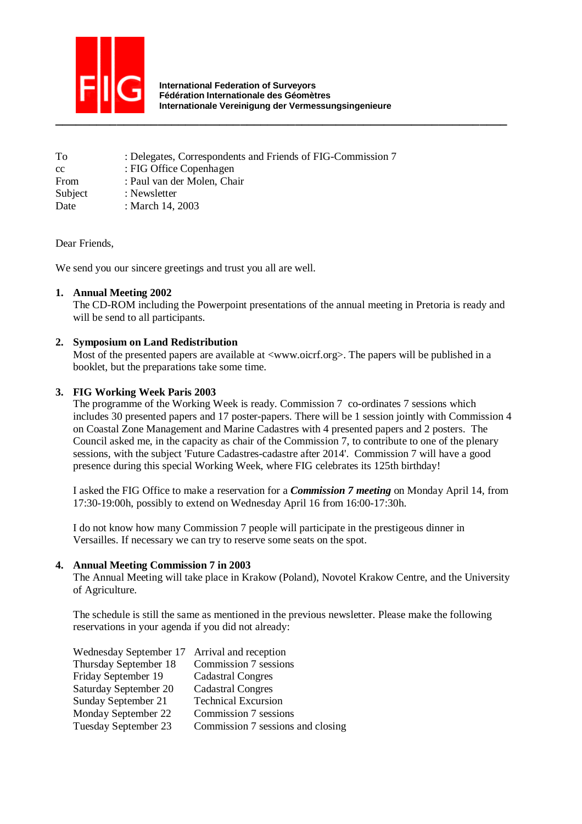

 **International Federation of Surveyors Fédération Internationale des Géomètres Internationale Vereinigung der Vermessungsingenieure** 

| To      | : Delegates, Correspondents and Friends of FIG-Commission 7 |
|---------|-------------------------------------------------------------|
| cc      | : FIG Office Copenhagen                                     |
| From    | : Paul van der Molen, Chair                                 |
| Subject | : Newsletter                                                |
| Date    | : March 14, 2003                                            |

Dear Friends,

We send you our sincere greetings and trust you all are well.

# **1. Annual Meeting 2002**

The CD-ROM including the Powerpoint presentations of the annual meeting in Pretoria is ready and will be send to all participants.

# **2. Symposium on Land Redistribution**

Most of the presented papers are available at  $\langle$ www.oicrf.org>. The papers will be published in a booklet, but the preparations take some time.

# **3. FIG Working Week Paris 2003**

The programme of the Working Week is ready. Commission 7 co-ordinates 7 sessions which includes 30 presented papers and 17 poster-papers. There will be 1 session jointly with Commission 4 on Coastal Zone Management and Marine Cadastres with 4 presented papers and 2 posters. The Council asked me, in the capacity as chair of the Commission 7, to contribute to one of the plenary sessions, with the subject 'Future Cadastres-cadastre after 2014'. Commission 7 will have a good presence during this special Working Week, where FIG celebrates its 125th birthday!

I asked the FIG Office to make a reservation for a *Commission 7 meeting* on Monday April 14, from 17:30-19:00h, possibly to extend on Wednesday April 16 from 16:00-17:30h.

I do not know how many Commission 7 people will participate in the prestigeous dinner in Versailles. If necessary we can try to reserve some seats on the spot.

## **4. Annual Meeting Commission 7 in 2003**

The Annual Meeting will take place in Krakow (Poland), Novotel Krakow Centre, and the University of Agriculture.

The schedule is still the same as mentioned in the previous newsletter. Please make the following reservations in your agenda if you did not already:

| Wednesday September 17 Arrival and reception |                                   |
|----------------------------------------------|-----------------------------------|
| Thursday September 18                        | Commission 7 sessions             |
| Friday September 19                          | Cadastral Congres                 |
| Saturday September 20                        | <b>Cadastral Congres</b>          |
| Sunday September 21                          | <b>Technical Excursion</b>        |
| Monday September 22                          | Commission 7 sessions             |
| Tuesday September 23                         | Commission 7 sessions and closing |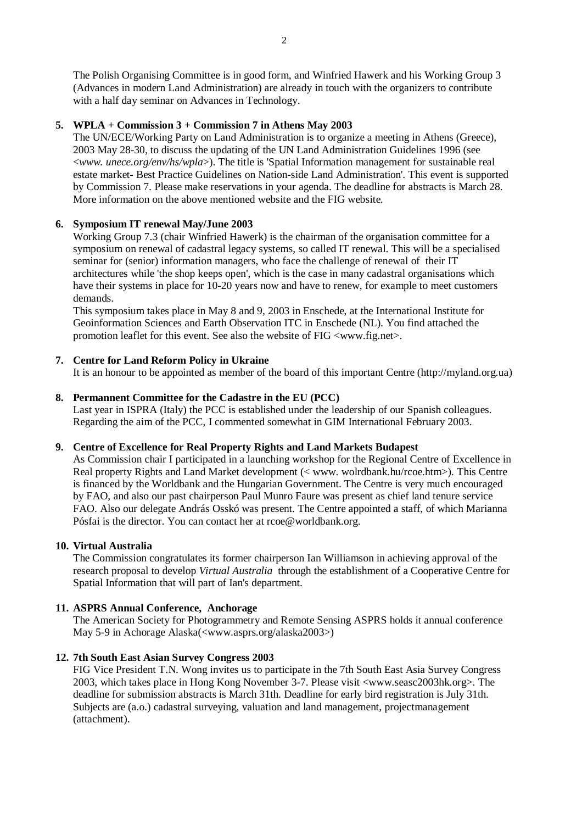The Polish Organising Committee is in good form, and Winfried Hawerk and his Working Group 3 (Advances in modern Land Administration) are already in touch with the organizers to contribute with a half day seminar on Advances in Technology.

# **5. WPLA + Commission 3 + Commission 7 in Athens May 2003**

The UN/ECE/Working Party on Land Administration is to organize a meeting in Athens (Greece), 2003 May 28-30, to discuss the updating of the UN Land Administration Guidelines 1996 (see <*www. unece.org/env/hs/wpla*>). The title is 'Spatial Information management for sustainable real estate market- Best Practice Guidelines on Nation-side Land Administration'. This event is supported by Commission 7. Please make reservations in your agenda. The deadline for abstracts is March 28. More information on the above mentioned website and the FIG website.

# **6. Symposium IT renewal May/June 2003**

Working Group 7.3 (chair Winfried Hawerk) is the chairman of the organisation committee for a symposium on renewal of cadastral legacy systems, so called IT renewal. This will be a specialised seminar for (senior) information managers, who face the challenge of renewal of their IT architectures while 'the shop keeps open', which is the case in many cadastral organisations which have their systems in place for 10-20 years now and have to renew, for example to meet customers demands.

This symposium takes place in May 8 and 9, 2003 in Enschede, at the International Institute for Geoinformation Sciences and Earth Observation ITC in Enschede (NL). You find attached the promotion leaflet for this event. See also the website of FIG <www.fig.net>.

# **7. Centre for Land Reform Policy in Ukraine**

It is an honour to be appointed as member of the board of this important Centre (http://myland.org.ua)

# **8. Permannent Committee for the Cadastre in the EU (PCC)**

Last year in ISPRA (Italy) the PCC is established under the leadership of our Spanish colleagues. Regarding the aim of the PCC, I commented somewhat in GIM International February 2003.

## **9. Centre of Excellence for Real Property Rights and Land Markets Budapest**

As Commission chair I participated in a launching workshop for the Regional Centre of Excellence in Real property Rights and Land Market development (< www. wolrdbank.hu/rcoe.htm>). This Centre is financed by the Worldbank and the Hungarian Government. The Centre is very much encouraged by FAO, and also our past chairperson Paul Munro Faure was present as chief land tenure service FAO. Also our delegate András Osskó was present. The Centre appointed a staff, of which Marianna Pósfai is the director. You can contact her at rcoe@worldbank.org.

## **10. Virtual Australia**

The Commission congratulates its former chairperson Ian Williamson in achieving approval of the research proposal to develop *Virtual Australia* through the establishment of a Cooperative Centre for Spatial Information that will part of Ian's department.

# **11. ASPRS Annual Conference, Anchorage**

The American Society for Photogrammetry and Remote Sensing ASPRS holds it annual conference May 5-9 in Achorage Alaska(<www.asprs.org/alaska2003>)

# **12. 7th South East Asian Survey Congress 2003**

FIG Vice President T.N. Wong invites us to participate in the 7th South East Asia Survey Congress 2003, which takes place in Hong Kong November 3-7. Please visit <www.seasc2003hk.org>. The deadline for submission abstracts is March 31th. Deadline for early bird registration is July 31th. Subjects are (a.o.) cadastral surveying, valuation and land management, projectmanagement (attachment).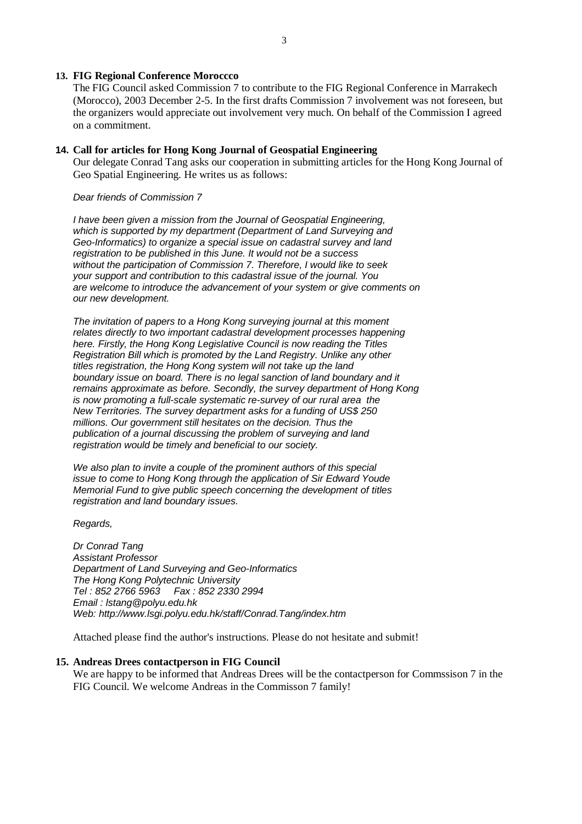#### **13. FIG Regional Conference Moroccco**

The FIG Council asked Commission 7 to contribute to the FIG Regional Conference in Marrakech (Morocco), 2003 December 2-5. In the first drafts Commission 7 involvement was not foreseen, but the organizers would appreciate out involvement very much. On behalf of the Commission I agreed on a commitment.

#### **14. Call for articles for Hong Kong Journal of Geospatial Engineering**

Our delegate Conrad Tang asks our cooperation in submitting articles for the Hong Kong Journal of Geo Spatial Engineering. He writes us as follows:

#### Dear friends of Commission 7

I have been given a mission from the Journal of Geospatial Engineering, which is supported by my department (Department of Land Surveying and Geo-Informatics) to organize a special issue on cadastral survey and land registration to be published in this June. It would not be a success without the participation of Commission 7. Therefore, I would like to seek your support and contribution to this cadastral issue of the journal. You are welcome to introduce the advancement of your system or give comments on our new development.

The invitation of papers to a Hong Kong surveying journal at this moment relates directly to two important cadastral development processes happening here. Firstly, the Hong Kong Legislative Council is now reading the Titles Registration Bill which is promoted by the Land Registry. Unlike any other titles registration, the Hong Kong system will not take up the land boundary issue on board. There is no legal sanction of land boundary and it remains approximate as before. Secondly, the survey department of Hong Kong is now promoting a full-scale systematic re-survey of our rural area the New Territories. The survey department asks for a funding of US\$ 250 millions. Our government still hesitates on the decision. Thus the publication of a journal discussing the problem of surveying and land registration would be timely and beneficial to our society.

We also plan to invite a couple of the prominent authors of this special issue to come to Hong Kong through the application of Sir Edward Youde Memorial Fund to give public speech concerning the development of titles registration and land boundary issues.

Regards,

Dr Conrad Tang Assistant Professor Department of Land Surveying and Geo-Informatics The Hong Kong Polytechnic University Tel : 852 2766 5963 Fax : 852 2330 2994 Email : lstang@polyu.edu.hk Web: http://www.lsgi.polyu.edu.hk/staff/Conrad.Tang/index.htm

Attached please find the author's instructions. Please do not hesitate and submit!

#### **15. Andreas Drees contactperson in FIG Council**

We are happy to be informed that Andreas Drees will be the contactperson for Commssison 7 in the FIG Council. We welcome Andreas in the Commisson 7 family!